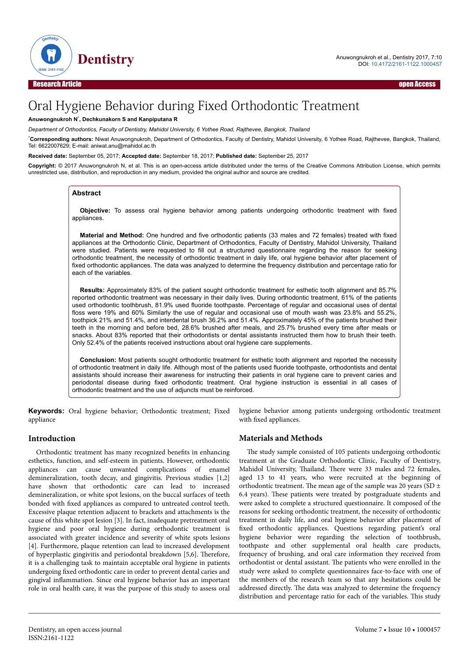

# Oral Hygiene Behavior during Fixed Orthodontic Treatment

#### **Anuwongnukroh N**\* **, Dechkunakorn S and Kanpiputana R**

*Department of Orthodontics, Faculty of Dentistry, Mahidol University, 6 Yothee Road, Rajthevee, Bangkok, Thailand*

\***Corresponding authors:** Niwat Anuwongnukroh, Department of Orthodontics, Faculty of Dentistry, Mahidol University, 6 Yothee Road, Rajthevee, Bangkok, Thailand, Tel: 6622007629; E-mail: aniwat.anu@mahidol.ac.th

**Received date:** September 05, 2017; **Accepted date:** September 18, 2017; **Published date:** September 25, 2017

**Copyright:** © 2017 Anuwongnukroh N, et al. This is an open-access article distributed under the terms of the Creative Commons Attribution License, which permits unrestricted use, distribution, and reproduction in any medium, provided the original author and source are credited.

#### **Abstract**

**Objective:** To assess oral hygiene behavior among patients undergoing orthodontic treatment with fixed appliances.

**Material and Method:** One hundred and five orthodontic patients (33 males and 72 females) treated with fixed appliances at the Orthodontic Clinic, Department of Orthodontics, Faculty of Dentistry, Mahidol University, Thailand were studied. Patients were requested to fill out a structured questionnaire regarding the reason for seeking orthodontic treatment, the necessity of orthodontic treatment in daily life, oral hygiene behavior after placement of fixed orthodontic appliances. The data was analyzed to determine the frequency distribution and percentage ratio for each of the variables.

**Results:** Approximately 83% of the patient sought orthodontic treatment for esthetic tooth alignment and 85.7% reported orthodontic treatment was necessary in their daily lives. During orthodontic treatment, 61% of the patients used orthodontic toothbrush, 81.9% used fluoride toothpaste. Percentage of regular and occasional uses of dental floss were 19% and 60% Similarly the use of regular and occasional use of mouth wash was 23.8% and 55.2%, toothpick 21% and 51.4%, and interdental brush 36.2% and 51.4%. Approximately 45% of the patients brushed their teeth in the morning and before bed, 28.6% brushed after meals, and 25.7% brushed every time after meals or snacks. About 83% reported that their orthodontists or dental assistants instructed them how to brush their teeth. Only 52.4% of the patients received instructions about oral hygiene care supplements.

**Conclusion:** Most patients sought orthodontic treatment for esthetic tooth alignment and reported the necessity of orthodontic treatment in daily life. Although most of the patients used fluoride toothpaste, orthodontists and dental assistants should increase their awareness for instructing their patients in oral hygiene care to prevent caries and periodontal disease during fixed orthodontic treatment. Oral hygiene instruction is essential in all cases of orthodontic treatment and the use of adjuncts must be reinforced.

**Keywords:** Oral hygiene behavior; Orthodontic treatment; Fixed appliance

hygiene behavior among patients undergoing orthodontic treatment with fixed appliances.

#### **Introduction**

Orthodontic treatment has many recognized benefits in enhancing esthetics, function, and self-esteem in patients. However, orthodontic appliances can cause unwanted complications of enamel demineralization, tooth decay, and gingivitis. Previous studies [1,2] have shown that orthodontic care can lead to increased demineralization, or white spot lesions, on the buccal surfaces of teeth bonded with fixed appliances as compared to untreated control teeth. Excessive plaque retention adjacent to brackets and attachments is the cause of this white spot lesion [3]. In fact, inadequate pretreatment oral hygiene and poor oral hygiene during orthodontic treatment is associated with greater incidence and severity of white spots lesions [4]. Furthermore, plaque retention can lead to increased development of hyperplastic gingivitis and periodontal breakdown [5,6]. Нerefore, it is a challenging task to maintain acceptable oral hygiene in patients undergoing fixed orthodontic care in order to prevent dental caries and gingival inflammation. Since oral hygiene behavior has an important role in oral health care, it was the purpose of this study to assess oral

## **Materials and Methods**

The study sample consisted of 105 patients undergoing orthodontic treatment at the Graduate Orthodontic Clinic, Faculty of Dentistry, Mahidol University, Thailand. There were 33 males and 72 females, aged 13 to 41 years, who were recruited at the beginning of orthodontic treatment. The mean age of the sample was 20 years (SD  $\pm$ 6.4 years). Нese patients were treated by postgraduate students and were asked to complete a structured questionnaire. It composed of the reasons for seeking orthodontic treatment, the necessity of orthodontic treatment in daily life, and oral hygiene behavior after placement of fixed orthodontic appliances. Questions regarding patient's oral hygiene behavior were regarding the selection of toothbrush, toothpaste and other supplemental oral health care products, frequency of brushing, and oral care information they received from orthodontist or dental assistant. Нe patients who were enrolled in the study were asked to complete questionnaires face-to-face with one of the members of the research team so that any hesitations could be addressed directly. Нe data was analyzed to determine the frequency **SPECTIFY** THE SECTION CONTROVIDENT CONTROVIDENT CONTROVIDENT CONTROVIDENT CONTROVIDENT CONTROVIDENT CONTROVIDENT CONTROVIDENT CONTROVIDENT CONTROVIDENT CONTROVIDENT CONTROVIDENT CONTROVIDENT CONTROVIDENT CONTROVIDENT CON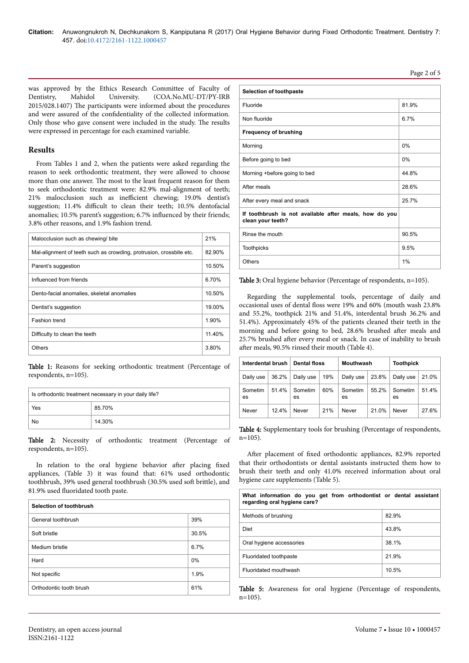Page 2 of 5

was approved by the Ethics Research Committee of Faculty of Dentistry, Mahidol University. (COA.No.MU-DT/PY-IRB Dentistry, Mahidol University. (COA.No.MU-DT/PY-IRB 2015/028.1407) Нe participants were informed about the procedures and were assured of the confidentiality of the collected information. Only those who gave consent were included in the study. Нe results were expressed in percentage for each examined variable.

## **Results**

From Tables 1 and 2, when the patients were asked regarding the reason to seek orthodontic treatment, they were allowed to choose more than one answer. Нe most to the least frequent reason for them to seek orthodontic treatment were: 82.9% mal-alignment of teeth; 21% malocclusion such as inefficient chewing; 19.0% dentist's suggestion; 11.4% difficult to clean their teeth; 10.5% dentofacial anomalies; 10.5% parent's suggestion; 6.7% influenced by their friends; 3.8% other reasons, and 1.9% fashion trend.

| Malocclusion such as chewing/bite                                   | 21%    |
|---------------------------------------------------------------------|--------|
| Mal-alignment of teeth such as crowding, protrusion, crossbite etc. | 82.90% |
| Parent's suggestion                                                 | 10.50% |
| Influenced from friends                                             | 6.70%  |
| Dento-facial anomalies, skeletal anomalies                          | 10.50% |
| Dentist's suggestion                                                | 19.00% |
| Fashion trend                                                       | 1.90%  |
| Difficulty to clean the teeth                                       | 11.40% |
| Others                                                              | 3.80%  |
|                                                                     |        |

Table 1: Reasons for seeking orthodontic treatment (Percentage of respondents, n=105).

| Is orthodontic treatment necessary in your daily life? |        |  |  |
|--------------------------------------------------------|--------|--|--|
| Yes                                                    | 85.70% |  |  |
| No                                                     | 14.30% |  |  |

Table 2: Necessity of orthodontic treatment (Percentage of respondents, n=105).

In relation to the oral hygiene behavior after placing fixed appliances, (Table 3) it was found that: 61% used orthodontic toothbrush, 39% used general toothbrush (30.5% used soft brittle), and 81.9% used fluoridated tooth paste.

| Selection of toothbrush |       |
|-------------------------|-------|
| General toothbrush      | 39%   |
| Soft bristle            | 30.5% |
| Medium bristle          | 6.7%  |
| Hard                    | 0%    |
| Not specific            | 1.9%  |
| Orthodontic tooth brush | 61%   |

| Selection of toothpaste                                                     |       |
|-----------------------------------------------------------------------------|-------|
| Fluoride                                                                    | 81.9% |
| Non fluoride                                                                | 6.7%  |
| <b>Frequency of brushing</b>                                                |       |
| Morning                                                                     | 0%    |
| Before going to bed                                                         | 0%    |
| Morning + before going to bed                                               | 44.8% |
| After meals                                                                 | 28.6% |
| After every meal and snack                                                  | 25.7% |
| If toothbrush is not available after meals, how do you<br>clean your teeth? |       |
| Rinse the mouth                                                             | 90.5% |
| <b>Toothpicks</b>                                                           | 9.5%  |
| Others                                                                      | 1%    |
|                                                                             |       |

Table 3: Oral hygiene behavior (Percentage of respondents, n=105).

Regarding the supplemental tools, percentage of daily and occasional uses of dental floss were 19% and 60% (mouth wash 23.8% and 55.2%, toothpick 21% and 51.4%, interdental brush 36.2% and 51.4%). Approximately 45% of the patients cleaned their teeth in the morning and before going to bed, 28.6% brushed after meals and 25.7% brushed after every meal or snack. In case of inability to brush after meals, 90.5% rinsed their mouth (Table 4).

| Interdental brush |       | <b>Dental floss</b> |     | Mouthwash     |       | <b>Toothpick</b> |          |
|-------------------|-------|---------------------|-----|---------------|-------|------------------|----------|
| Daily use         | 36.2% | Daily use           | 19% | Daily use     | 23.8% | Daily use        | 21.0%    |
| Sometim<br>es     | 51.4% | Sometim<br>es       | 60% | Sometim<br>es | 55.2% | Sometim<br>es    | $51.4\%$ |
| Never             | 12.4% | Never               | 21% | Never         | 21.0% | Never            | 27.6%    |

Table 4: Supplementary tools for brushing (Percentage of respondents, n=105).

After placement of fixed orthodontic appliances, 82.9% reported that their orthodontists or dental assistants instructed them how to brush their teeth and only 41.0% received information about oral hygiene care supplements (Table 5).

| What information do you get from orthodontist or dental assistant<br>regarding oral hygiene care? |       |
|---------------------------------------------------------------------------------------------------|-------|
| Methods of brushing                                                                               | 82.9% |
| Diet                                                                                              | 43.8% |
| Oral hygiene accessories                                                                          | 38.1% |
| Fluoridated toothpaste                                                                            | 21.9% |
| Fluoridated mouthwash                                                                             | 10.5% |

Table 5: Awareness for oral hygiene (Percentage of respondents,  $n=105$ ).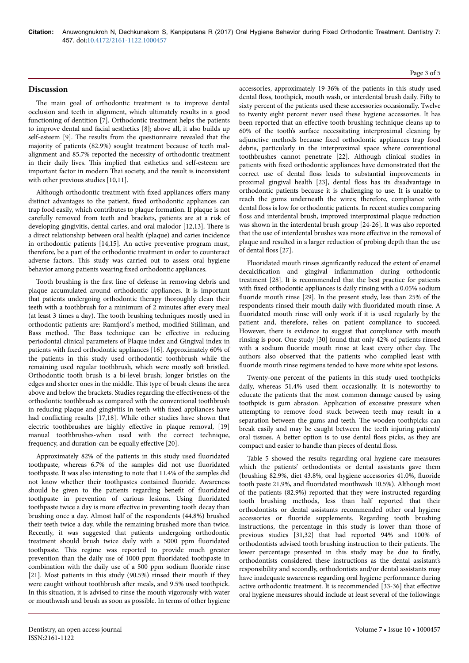### **Discussion**

The main goal of orthodontic treatment is to improve dental occlusion and teeth in alignment, which ultimately results in a good functioning of dentition [7]. Orthodontic treatment helps the patients to improve dental and facial aesthetics [8]; above all, it also builds up self-esteem [9]. Нe results from the questionnaire revealed that the majority of patients (82.9%) sought treatment because of teeth malalignment and 85.7% reported the necessity of orthodontic treatment in their daily lives. This implied that esthetics and self-esteem are important factor in modern Thai society, and the result is inconsistent with other previous studies [10,11].

Although orthodontic treatment with fixed appliances offers many distinct advantages to the patient, fixed orthodontic appliances can trap food easily, which contributes to plaque formation. If plaque is not carefully removed from teeth and brackets, patients are at a risk of developing gingivitis, dental caries, and oral malodor [12,13]. Нere is a direct relationship between oral health (plaque) and caries incidence in orthodontic patients [14,15]. An active preventive program must, therefore, be a part of the orthodontic treatment in order to counteract adverse factors. This study was carried out to assess oral hygiene behavior among patients wearing fixed orthodontic appliances.

Tooth brushing is the first line of defense in removing debris and plaque accumulated around orthodontic appliances. It is important that patients undergoing orthodontic therapy thoroughly clean their teeth with a toothbrush for a minimum of 2 minutes after every meal (at least 3 times a day). Нe tooth brushing techniques mostly used in orthodontic patients are: Ramfiord's method, modified Stillman, and Bass method. The Bass technique can be effective in reducing periodontal clinical parameters of Plaque index and Gingival index in patients with fixed orthodontic appliances [16]. Approximately 60% of the patients in this study used orthodontic toothbrush while the remaining used regular toothbrush, which were mostly soft bristled. Orthodontic tooth brush is a bi-level brush; longer bristles on the edges and shorter ones in the middle. This type of brush cleans the area above and below the brackets. Studies regarding the effectiveness of the orthodontic toothbrush as compared with the conventional toothbrush in reducing plaque and gingivitis in teeth with fixed appliances have had conflicting results  $[17,18]$ . While other studies have shown that electric toothbrushes are highly effective in plaque removal, [19] manual toothbrushes-when used with the correct technique, frequency, and duration-can be equally effective  $[20]$ .

Approximately 82% of the patients in this study used fluoridated toothpaste, whereas 6.7% of the samples did not use fluoridated toothpaste. It was also interesting to note that 11.4% of the samples did not know whether their toothpastes contained fluoride. Awareness should be given to the patients regarding benefit of fluoridated toothpaste in prevention of carious lesions. Using fluoridated toothpaste twice a day is more effective in preventing tooth decay than brushing once a day. Almost half of the respondents (44.8%) brushed their teeth twice a day, while the remaining brushed more than twice. Recently, it was suggested that patients undergoing orthodontic treatment should brush twice daily with a 5000 ppm fluoridated toothpaste. This regime was reported to provide much greater prevention than the daily use of 1000 ppm fluoridated toothpaste in combination with the daily use of a 500 ppm sodium fluoride rinse [21]. Most patients in this study (90.5%) rinsed their mouth if they were caught without toothbrush after meals, and 9.5% used toothpick. In this situation, it is advised to rinse the mouth vigorously with water or mouthwash and brush as soon as possible. In terms of other hygiene accessories, approximately 19-36% of the patients in this study used dental floss, toothpick, mouth wash, or interdental brush daily. Fifty to sixty percent of the patients used these accessories occasionally. Twelve to twenty eight percent never used these hygiene accessories. It has been reported that an effective tooth brushing technique cleans up to 60% of the tooth's surface necessitating interproximal cleaning by adjunctive methods because fixed orthodontic appliances trap food debris, particularly in the interproximal space where conventional toothbrushes cannot penetrate [22]. Although clinical studies in patients with fixed orthodontic appliances have demonstrated that the correct use of dental floss leads to substantial improvements in proximal gingival health [23], dental floss has its disadvantage in orthodontic patients because it is challenging to use. It is unable to reach the gums underneath the wires; therefore, compliance with dental floss is low for orthodontic patients. In recent studies comparing floss and interdental brush, improved interproximal plaque reduction was shown in the interdental brush group [24-26]. It was also reported that the use of interdental brushes was more effective in the removal of plaque and resulted in a larger reduction of probing depth than the use of dental floss [27].

Fluoridated mouth rinses significantly reduced the extent of enamel decalcification and gingival inflammation during orthodontic treatment [28]. It is recommended that the best practice for patients with fixed orthodontic appliances is daily rinsing with a 0.05% sodium fluoride mouth rinse [29]. In the present study, less than 25% of the respondents rinsed their mouth daily with fluoridated mouth rinse. A fluoridated mouth rinse will only work if it is used regularly by the patient and, therefore, relies on patient compliance to succeed. However, there is evidence to suggest that compliance with mouth rinsing is poor. One study [30] found that only 42% of patients rinsed with a sodium fluoride mouth rinse at least every other day. The authors also observed that the patients who complied least with fluoride mouth rinse regimens tended to have more white spot lesions.

Twenty-one percent of the patients in this study used toothpicks daily, whereas 51.4% used them occasionally. It is noteworthy to educate the patients that the most common damage caused by using toothpick is gum abrasion. Application of excessive pressure when attempting to remove food stuck between teeth may result in a separation between the gums and teeth. The wooden toothpicks can break easily and may be caught between the teeth injuring patients' oral tissues. A better option is to use dental floss picks, as they are compact and easier to handle than pieces of dental floss.

Table 5 showed the results regarding oral hygiene care measures which the patients' orthodontists or dental assistants gave them (brushing 82.9%, diet 43.8%, oral hygiene accessories 41.0%, fluoride tooth paste 21.9%, and fluoridated mouthwash 10.5%). Although most of the patients (82.9%) reported that they were instructed regarding tooth brushing methods, less than half reported that their orthodontists or dental assistants recommended other oral hygiene accessories or fluoride supplements. Regarding tooth brushing instructions, the percentage in this study is lower than those of previous studies [31,32] that had reported 94% and 100% of orthodontists advised tooth brushing instruction to their patients. Нe lower percentage presented in this study may be due to firstly, orthodontists considered these instructions as the dental assistant's responsibility and secondly, orthodontists and/or dental assistants may have inadequate awareness regarding oral hygiene performance during active orthodontic treatment. It is recommended [33-36] that effective oral hygiene measures should include at least several of the followings:

#### Page 3 of 5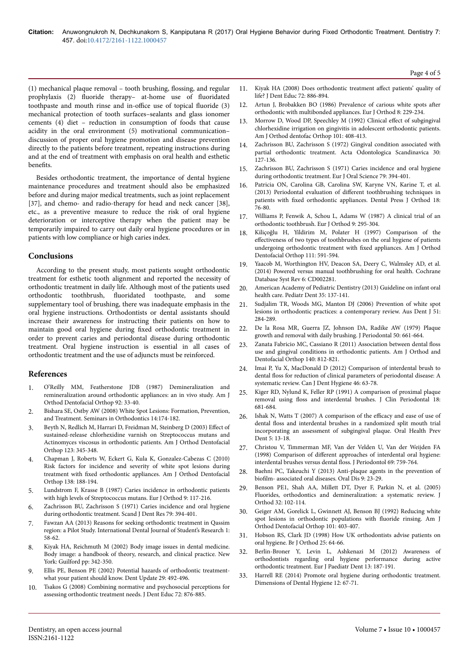$(1)$  mechanical plaque removal – tooth brushing, flossing, and regular prophylaxis (2) fluoride therapy- at-home use of fluoridated toothpaste and mouth rinse and in-office use of topical fluoride (3) mechanical protection of tooth surfaces–sealants and glass ionomer cements (4) diet – reduction in consumption of foods that cause acidity in the oral environment (5) motivational communication– discussion of proper oral hygiene promotion and disease prevention directly to the patients before treatment, repeating instructions during and at the end of treatment with emphasis on oral health and esthetic benefits.

Besides orthodontic treatment, the importance of dental hygiene maintenance procedures and treatment should also be emphasized before and during major medical treatments, such as joint replacement [37], and chemo- and radio-therapy for head and neck cancer [38], etc., as a preventive measure to reduce the risk of oral hygiene deterioration or interceptive therapy when the patient may be temporarily impaired to carry out daily oral hygiene procedures or in patients with low compliance or high caries index.

### **Conclusions**

According to the present study, most patients sought orthodontic treatment for esthetic tooth alignment and reported the necessity of orthodontic treatment in daily life. Although most of the patients used orthodontic toothbrush, fluoridated toothpaste, and some supplementary tool of brushing, there was inadequate emphasis in the oral hygiene instructions. Orthodontists or dental assistants should increase their awareness for instructing their patients on how to maintain good oral hygiene during fixed orthodontic treatment in order to prevent caries and periodontal disease during orthodontic treatment. Oral hygiene instruction is essential in all cases of orthodontic treatment and the use of adjuncts must be reinforced.

## **References**

- 1. [O'Reilly MM, Featherstone JDB \(1987\) Demineralization and](https://doi.org/10.1016/0889-5406(87)90293-9) [remineralization around orthodontic appliances: an in vivo study. Am J](https://doi.org/10.1016/0889-5406(87)90293-9) [Orthod Dentofacial Orthop 92: 33-40.](https://doi.org/10.1016/0889-5406(87)90293-9)
- 2. [Bishara SE, Ostby AW \(2008\) White Spot Lesions: Formation, Prevention,](https://doi.org/10.1053/j.sodo.2008.03.002) [and Treatment. Seminars in Orthodontics 14:174-182.](https://doi.org/10.1053/j.sodo.2008.03.002)
- [Beyth N, Redlich M, Harrari D, Freidman M, Steinberg D \(2003\)](https://doi.org/10.1067/mod.2003.19) Effect of [sustained-release chlorhexidine varnish on Streptococcus mutans and](https://doi.org/10.1067/mod.2003.19) [Actinomyces viscosus in orthodontic patients. Am J Orthod Dentofacial](https://doi.org/10.1067/mod.2003.19) [Orthop 123: 345-348.](https://doi.org/10.1067/mod.2003.19)
- 4. [Chapman J, Roberts W, Eckert G, Kula K, Gonzalez-Cabezas C \(2010\)](https://doi.org/10.1016/j.ajodo.2008.10.019) [Risk factors for incidence and severity of white spot lesions during](https://doi.org/10.1016/j.ajodo.2008.10.019) treatment with fixed [orthodontic appliances. Am J Orthod Dentofacial](https://doi.org/10.1016/j.ajodo.2008.10.019) [Orthop 138: 188-194.](https://doi.org/10.1016/j.ajodo.2008.10.019)
- 5. [Lundstrom F, Krasse B \(1987\) Caries incidence in orthodontic patients](https://doi.org/10.1093/ejo/9.1.117) [with high levels of Streptococcus mutans. Eur J Orthod 9: 117-216.](https://doi.org/10.1093/ejo/9.1.117)
- 6. [Zachrisson BU, Zachrisson S \(1971\) Caries incidence and oral hygiene](https://doi.org/10.1016/0002-9416(73)90174-7) [during orthodontic treatment. Scand J Dent Res 79: 394-401.](https://doi.org/10.1016/0002-9416(73)90174-7)
- 7. Fawzan AA (2013) Reasons for seeking orthodontic treatment in Qassim region: a Pilot Study. International Dental Journal of Student's Research 1: 58-62.
- 8. Kiyak HA, Reichmuth M (2002) Body image issues in dental medicine. Body image: a handbook of theory, research, and clinical practice. New York: Guilford pp: 342-350.
- 9. [Ellis PE, Benson PE \(2002\) Potential hazards of orthodontic treatment](https://doi.org/10.12968/denu.2002.29.10.492)[what your patient should know. Dent Update 29: 492-496.](https://doi.org/10.12968/denu.2002.29.10.492)
- Tsakos G (2008) Combining normative and psychosocial perceptions for assessing orthodontic treatment needs. J Dent Educ 72: 876-885.
- 11. Kiyak HA (2008) Does orthodontic treatment affect patients' quality of life? J Dent Educ 72: 886-894.
- 12. [Artun J, Brobakken BO \(1986\) Prevalence of carious white spots](https://doi.org/10.1093/ejo/8.4.229) after [orthodontic with multibonded appliances. Eur J Orthod 8: 229-234.](https://doi.org/10.1093/ejo/8.4.229)
- 13. [Morrow D, Wood DP, Speechley M \(1992\) Clinical](https://doi.org/10.1016/0889-5406(92)70113-o) effect of subgingival [chlorhexidine irrigation on gingivitis in adolescent orthodontic patients.](https://doi.org/10.1016/0889-5406(92)70113-o) [Am J Orthod dentofac Orthop 101: 408-413.](https://doi.org/10.1016/0889-5406(92)70113-o)
- 14. [Zachrisson BU, Zachrisson S \(1972\) Gingival condition associated with](https://doi.org/10.3109/00016357209004597) [partial orthodontic treatment. Acta Odontologica Scandinavica 30:](https://doi.org/10.3109/00016357209004597) [127-136.](https://doi.org/10.3109/00016357209004597)
- 15. [Zachrisson BU, Zachrisson S \(1971\) Caries incidence and oral hygiene](https://doi.org/10.1016/0002-9416(73)90174-7) [during orthodontic treatment. Eur J Oral Science 79: 394-401.](https://doi.org/10.1016/0002-9416(73)90174-7)
- 16. [Patricia ON, Carolina GB, Carolina SW, Karyne VN, Karine T, et al.](https://doi.org/10.1590/s2176-94512013000100017) [\(2013\) Periodontal evaluation of](https://doi.org/10.1590/s2176-94512013000100017) different toothbrushing techniques in patients with fixed [orthodontic appliances. Dental Press J Orthod 18:](https://doi.org/10.1590/s2176-94512013000100017) [76-80.](https://doi.org/10.1590/s2176-94512013000100017)
- 17. [Williams P, Fenwik A, Schou L, Adams W \(1987\) A clinical trial of an](https://doi.org/10.1093/ejo/9.4.295) [orthodontic toothbrush. Eur J Orthod 9: 295-304.](https://doi.org/10.1093/ejo/9.4.295)
- 18. [Kiliçoğlu H, Yildirim M, Polater H \(1997\) Comparison of the](https://doi.org/10.1016/s0889-5406(97)70309-3) effectiveness [of two types of toothbrushes on the oral hygiene of patients](https://doi.org/10.1016/s0889-5406(97)70309-3) [undergoing orthodontic treatment with](https://doi.org/10.1016/s0889-5406(97)70309-3) fixed appliances. Am J Orthod [Dentofacial Orthop 111: 591-594.](https://doi.org/10.1016/s0889-5406(97)70309-3)
- 19. [Yaacob M, Worthington HV, Deacon SA, Deery C, Walmsley AD, et al.](https://doi.org/10.1002/14651858.cd002281.pub3) [\(2014\) Powered versus manual toothbrushing for oral health. Cochrane](https://doi.org/10.1002/14651858.cd002281.pub3) [Database Syst Rev 6: CD002281.](https://doi.org/10.1002/14651858.cd002281.pub3)
- 20. American Academy of Pediatric Dentistry (2013) Guideline on infant oral health care. Pediatr Dent 35: 137-141.
- 21. [Sudjalim TR, Woods MG, Manton DJ \(2006\) Prevention of white spot](https://doi.org/10.1111/j.1834-7819.2006.tb00445.x) [lesions in orthodontic practices: a contemporary review. Aus Dent J 51:](https://doi.org/10.1111/j.1834-7819.2006.tb00445.x) [284-289.](https://doi.org/10.1111/j.1834-7819.2006.tb00445.x)
- 22. [De la Rosa MR, Guerra JZ, Johnson DA, Radike AW \(1979\) Plaque](https://doi.org/10.1902/jop.1979.50.12.661) [growth and removal with daily brushing. J Periodontal 50: 661-664.](https://doi.org/10.1902/jop.1979.50.12.661)
- 23. [Zanata Fabricio MC, Cassiano R \(2011\) Association between dental](https://doi.org/10.1016/j.ajodo.2011.06.028) floss [use and gingival conditions in orthodontic patients. Am J Orthod and](https://doi.org/10.1016/j.ajodo.2011.06.028) [Dentofacial Orthop 140: 812-821.](https://doi.org/10.1016/j.ajodo.2011.06.028)
- 24. Imai P, Yu X, MacDonald D (2012) Comparison of interdental brush to dental floss for reduction of clinical parameters of periodontal disease: A systematic review. Can J Dent Hygiene 46: 63-78.
- 25. [Kiger RD, Nylund K, Feller RP \(1991\) A comparison of proximal plaque](https://doi.org/10.1111/j.1600-051x.1991.tb00109.x) removal using floss [and interdental brushes. J Clin Periodontal 18:](https://doi.org/10.1111/j.1600-051x.1991.tb00109.x) [681-684.](https://doi.org/10.1111/j.1600-051x.1991.tb00109.x)
- 26. Ishak N, Watts T (2007) A comparison of the efficacy and ease of use of dental floss and interdental brushes in a randomized split mouth trial incorporating an assessment of subgingival plaque. Oral Health Prev Dent 5: 13-18.
- 27. [Christou V, Timmerman MF, Van der Velden U, Van der Weijden FA](https://doi.org/10.1902/jop.1998.69.7.759) (1998) Comparison of different [approaches of interdental oral hygiene:](https://doi.org/10.1902/jop.1998.69.7.759) [interdental brushes versus dental](https://doi.org/10.1902/jop.1998.69.7.759) floss. J Periodontol 69: 759-764.
- 28. [Baehni PC, Takeuchi Y \(2013\) Anti-plaque agents in the prevention of](https://doi.org/10.1034/j.1601-0825.9.s1.5.x) biofilm- [associated oral diseases. Oral Dis 9: 23-29.](https://doi.org/10.1034/j.1601-0825.9.s1.5.x)
- 29. [Benson PE1, Shah AA, Millett DT, Dyer F, Parkin N, et al. \(2005\)](https://doi.org/10.1179/146531205225021033) [Fluorides, orthodontics and demineralization: a systematic review. J](https://doi.org/10.1179/146531205225021033) [Orthod 32: 102-114.](https://doi.org/10.1179/146531205225021033)
- 30. [Geiger AM, Gorelick L, Gwinnett AJ, Benson BJ \(1992\) Reducing white](https://doi.org/10.1016/0889-5406(92)70112-n) [spot lesions in orthodontic populations with](https://doi.org/10.1016/0889-5406(92)70112-n) fluoride rinsing. Am J [Orthod Dentofacial Orthop 101: 403-407.](https://doi.org/10.1016/0889-5406(92)70112-n)
- 31. [Hobson RS, Clark JD \(1998\) How UK orthodontists advise patients on](https://doi.org/10.1093/ortho/25.1.64) [oral hygiene. Br J Orthod 25: 64-66.](https://doi.org/10.1093/ortho/25.1.64)
- 32. Berlin-Broner Y, Levin L, Ashkenazi M (2012) Awareness of orthodontists regarding oral hygiene performance during active orthodontic treatment. Eur J Paediatr Dent 13: 187-191.
- 33. Harrell RE (2014) Promote oral hygiene during orthodontic treatment. Dimensions of Dental Hygiene 12: 67-71.